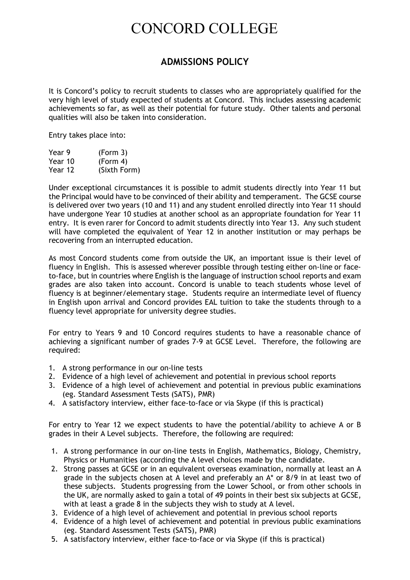## CONCORD COLLEGE

## **ADMISSIONS POLICY**

It is Concord's policy to recruit students to classes who are appropriately qualified for the very high level of study expected of students at Concord. This includes assessing academic achievements so far, as well as their potential for future study. Other talents and personal qualities will also be taken into consideration.

Entry takes place into:

| Year 9  | (Form 3)     |
|---------|--------------|
| Year 10 | (Form 4)     |
| Year 12 | (Sixth Form) |

Under exceptional circumstances it is possible to admit students directly into Year 11 but the Principal would have to be convinced of their ability and temperament. The GCSE course is delivered over two years (10 and 11) and any student enrolled directly into Year 11 should have undergone Year 10 studies at another school as an appropriate foundation for Year 11 entry. It is even rarer for Concord to admit students directly into Year 13. Any such student will have completed the equivalent of Year 12 in another institution or may perhaps be recovering from an interrupted education.

As most Concord students come from outside the UK, an important issue is their level of fluency in English. This is assessed wherever possible through testing either on-line or faceto-face, but in countries where English is the language of instruction school reports and exam grades are also taken into account. Concord is unable to teach students whose level of fluency is at beginner/elementary stage. Students require an intermediate level of fluency in English upon arrival and Concord provides EAL tuition to take the students through to a fluency level appropriate for university degree studies.

For entry to Years 9 and 10 Concord requires students to have a reasonable chance of achieving a significant number of grades 7-9 at GCSE Level. Therefore, the following are required:

- 1. A strong performance in our on-line tests
- 2. Evidence of a high level of achievement and potential in previous school reports
- 3. Evidence of a high level of achievement and potential in previous public examinations (eg. Standard Assessment Tests (SATS), PMR)
- 4. A satisfactory interview, either face-to-face or via Skype (if this is practical)

For entry to Year 12 we expect students to have the potential/ability to achieve A or B grades in their A Level subjects. Therefore, the following are required:

- 1. A strong performance in our on-line tests in English, Mathematics, Biology, Chemistry, Physics or Humanities (according the A level choices made by the candidate.
- 2. Strong passes at GCSE or in an equivalent overseas examination, normally at least an A grade in the subjects chosen at A level and preferably an A\* or 8/9 in at least two of these subjects. Students progressing from the Lower School, or from other schools in the UK, are normally asked to gain a total of 49 points in their best six subjects at GCSE, with at least a grade 8 in the subjects they wish to study at A level.
- 3. Evidence of a high level of achievement and potential in previous school reports
- 4. Evidence of a high level of achievement and potential in previous public examinations (eg. Standard Assessment Tests (SATS), PMR)
- 5. A satisfactory interview, either face-to-face or via Skype (if this is practical)